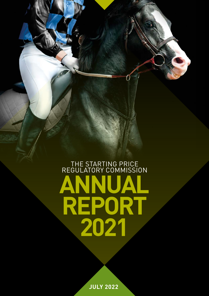# **ANNUAL REPORT 2021** THE STARTING PRICE REGULATORY COMMISSION

0

**JULY 2022**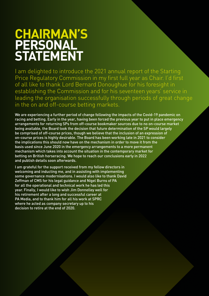# **CHAIRMAN'S PERSONAL STATEMENT**

I am delighted to introduce the 2021 annual report of the Starting Price Regulatory Commission in my first full year as Chair. I'd first of all like to thank Lord Bernard Donoughue for his foresight in establishing the Commission and for his seventeen years' service in leading the organisation successfully through periods of great change in the on and off-course betting markets.

We are experiencing a further period of change following the impacts of the Covid-19 pandemic on racing and betting. Early in the year, having been forced the previous year to put in place emergency arrangements for returning SPs from off-course bookmaker sources due to no on-course market being available, the Board took the decision that future determination of the SP would largely be comprised of off-course prices, though we believe that the inclusion of an expression of on-course prices is highly desirable. The Board has been working late in 2021 to consider the implications this should now have on the mechanism in order to move it from the basis used since June 2020 in the emergency arrangements to a more permanent mechanism which takes into account the situation in the contemporary market for betting on British horseracing. We hope to reach our conclusions early in 2022 and publish details soon afterwards.

I am grateful for the support received from my fellow directors in welcoming and inducting me, and in assisting with implementing some governance modernisations. I would also like to thank David Zeffman of CMS for his legal guidance and Nigel Burns of PA for all the operational and technical work he has led this year. Finally, I would like to wish Jim Donnelley well for his retirement after a long and successful career at PA Media, and to thank him for all his work at SPRC where he acted as company secretary up to his decision to retire at the end of 2020.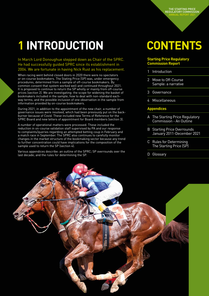In March Lord Donoughue stepped down as Chair of the SPRC. He had successfully guided SPRC since its establishment in 2004. We are fortunate in having Nick Rust as his replacement.

When racing went behind closed doors in 2020 there were no spectators or on-course bookmakers. The Stating Price (SP) was, under emergency procedures, determined from a sample of off-course bookmakers. By common consent that system worked well and continued throughout 2021. It is proposed to continue to return the SP wholly or mainly from off-course prices (section 2). We are investigating: the scope for widening the basket of bookmakers included in the sample; how to deal with non-standard eachway terms; and the possible inclusion of one observation in the sample from information provided by on-course bookmakers. **Example 18 and the reader of the reader of the SPRC:** SP over the rangular of the rangular dispersion and the rangular dispersion on-course bookmakers. The Stating Price (SP) was, under procedures, determined from a sampl

During 2021, in addition to the appointment of the new chair, a number of governance issues were resolved, which had been previously put on the backburner because of Covid. These included new Terms of Reference for the SPRC Board and new letters of appointment for Board members (section 3).

A number of operational matters were processed. These included the reduction in on-course validation staff supervised by PA and our response to complaints/queries regarding an attempted betting coup in February and a match race in September. The SPRC also continues to carefully monitor changes in the market structure of the bookmaking sector because any trend to further concentration could have implications for the composition of the sample used to return the SP (section 4).

Various appendices describe: an outline of the SPRC; SP overrounds over the last decade; and the rules for determining the SP.

# **CONTENTS**

### **Starting Price Regulatory Commission Report**

- 
- 1 Introduction<br>2 Move to Off-Course Sample: a narrative
- 3 Governance
- 4 Miscellaneous

#### **Appendices**

- A The Starting Price Regulatory Commission - An Outline
- B Starting Price Overrounds January 2011-December 2021
- C Rules for Determining The Starting Price (SP)
- D Glossary

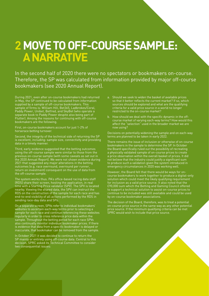# **2 MOVE TO OFF-COURSE SAMPLE: A NARRATIVE**

In the second half of 2020 there were no spectators or bookmakers on-course. Therefore, the SP was calculated from information provided by major off-course bookmakers (see 2020 Annual Report).

During 2021, even after on-course bookmakers had returned in May, the SP continued to be calculated from information supplied by a sample of off-course bookmakers. This sample of firms is: William Hill, Bet365, Ladbrokes/Coral, Paddy Power, Unibet, Betfred, and SkyBet (who operate a separate book to Paddy Power despite also being part of Flutter). Among the reasons for continuing with off-course bookmakers are the following.

First, on-course bookmakers account for just 1-2% of horserace betting turnover.

Second, the integrity of the technical side of returning the SP is excellent, including: sample size, connectivity and providing data in a timely manner.

Third, early evidence suggested that the betting outcomes using the off-course sample were similar to those from the previous on-course sample (with some caveats as set out in the 2020 Annual Report). We were not shown evidence during 2021 that suggested any major alterations in the betting outcomes (e.g. race overround, overround per runner, return on investment) consequent on the use of data from the off-course sample.

The system works thus. PA's office-based racing data staff (RDS) share their screen, hosting the application, in real time with a Starting Price validator (SPV). The SPV is located nearby. Viewing the shared data, the SPV can instruct the RDS on the construction of the sample for each race and has end-to-end visibility of all actions performed by the RDS in sending race-day data and SPs.

oucuries respirate terrorum, corrum content technomic respirate terrorum on investment consequent on the off-course sample.<br> **22** The system works thus. PA's office-base (RDS) share their screen, hosting the apple time w On a separate screen, SPVs refer to individual bookmakers' websites to ascertain each-way terms prior to selecting a sample for each race and continue referencing these websites regularly in order to cross reference price data within the sample. Throughout the betting period for each race SPVs also continually monitor individual bookmaker prices. If there is evidence that data from a specific bookmaker is delayed or inaccurate, that bookmaker can be removed from the sample.

In October 2021 it was decided to continue to return the SP mainly or entirely using off-course data. Central to this decision, SPRC asked its Technical Committee to consider two consequential issues:

- a. Should we seek to widen the basket of available prices so that it better reflects the current market? If so, which sources should be explored and what are the qualifying criteria for a valid price source in a world no longer restricted to the on-course market?
- b. How should we deal with the specific dynamic in the offcourse market of varying each-way terms? How would this affect the "selection" used in the broader market we are now using?

Decisions on potentially widening the sample and on each-way terms are planned to be taken in early 2022.

There remains the issue of inclusion or otherwise of on-course bookmakers in the sample to determine the SP. In October the Board specifically ruled out the possibility of recreating a physically validated sample of on-course prices to create a price observation within the overall basket of prices. It did not believe that the industry could justify a significant sum to produce such a validation given the system introduced in emergency circumstances in 2020 was working well.

However, the Board felt that there would be ways for oncourse bookmakers to work together to produce a digital-only solution which could meet the likely qualifying requirement for inclusion as a valid price source. It also noted that the £90,000 sum which the Betting and Gaming Council offered to support a technical solution to assist on-course prices to continue to be included was still available and could be used by on-course bookmaker associations.

The decision of the Board, therefore, was to treat a potential on-course price source in the same way as any other potential price source. If the minimum qualifying criteria can be met SPRC would wish to include that price source.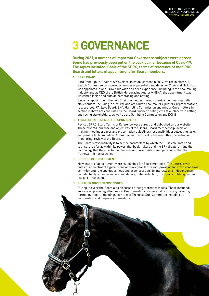# **3GOVERNANCE**

**During 2021, a number of important Governance subjects were agreed. Some had previously been put on the back burner because of Covid-19. The topics included: Chair of the SPRC; terms of reference of the SPRC Board; and letters of appointment for Board members.**

#### **A. SPRC CHAIR**

Lord Donoughue, Chair of SPRC since its establishment in 2004, retired in March. A Search Committee considered a number of potential candidates for Chair and Nick Rust was appointed in April. Given his wide and deep experience, including in the bookmaking industry and as CEO of the British Horseracing Authority (BHA) the appointment was welcomed inside and outside horseracing and betting.

Since his appointment the new Chair has held numerous one-to-one meetings with stakeholders, including: on-course and off-course bookmakers, punters' representatives, racecourses, PA, Levy Board, BHA, Gambling Commission and media. Once matters in section 2 above are concluded by the Board, further briefings will take place with betting and racing stakeholders, as well as the Gambling Commission and DCMS.

#### **B. TERMS OF REFERENCE FOR SPRC BOARD.**

Revised SPRC Board Terms of Reference were agreed and published on our website. These covered: purpose and objectives of the Board; Board membership; decisionmaking; meetings; paper and presentation guidelines; responsibilities; delegating tasks and powers (to Nomination Committee and Technical Sub-Committee); reporting and monitoring; review of the Board.

The Board's responsibility is to set the parameters by which the SP is calculated and to ensure, so far as within its power, that bookmakers and the SP validators – and the technology that they use to monitor market movements – are operating within the framework it has specified.

#### **C. LETTERS OF ENGAGEMENT**

New letters of appointment were established for Board members. The letters cover: dates of appointment (typically one or two 4-year terms with provision for extension); time commitment; role and duties; fees and expenses; outside interests and independence; confidentiality; changes in personal details; data protection; third party rights; governing law and jurisdiction. -Committee); reporting and<br>ch the SP is calculated and<br>the SP is calculated and<br>are operating within the<br>are operating within the<br>embers. The letters cover:<br>ith provision for extension]; time<br>interests and independence;<br>th

#### **D. FURTHER GOVERNANCE ISSUES**

During the year the Board also discussed other governance issues. These included: succession planning; attendees at Board meetings; secretarial resources; diversity; normal number of meetings; key role of Technical Sub-Committee including its composition and frequency of meetings.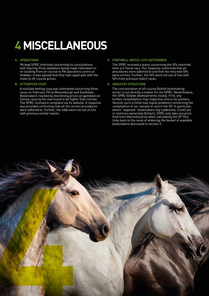# **4MISCELLANEOUS**

#### **A. OPERATIONS**

PA kept SPRC informed concerning its consultations with Starting Price validators being made redundant or re-locating from on-course to PA operations centre at Howden. It was agreed that they had coped well with the move to off-course prices.

#### **B. ATTEMPTED COUP**

A multiple betting coup was attempted concerning three races on February 7th at Musselburgh and Southwell. Bookmakers reacted by shortening prices on gambled-on horses causing the overround to be higher than normal. The SPRC received a complaint via its website. A response was provided confirming that all the correct procedures were adhered to. Further, the odds were not out of line with previous similar events.

#### **C. FONTWELL MATCH 14TH SEPTEMBER**

The SPRC received a query concerning the SPs returned from a 2-horse race. Our response confirmed that all procedures were adhered to and that the returned SPs were correct. Further, the SPs were not out of line with SPs from previous match races.

#### **D. INDUSTRY STRUCTURE**

The concentration of off-course British bookmaking sector is not directly a matter for the SPRC. Nevertheless, the SPRC follows developments closely. First, any further consolidation may imply less choice for punters. Second, such a trend may signal problems concerning the composition of our sample to return the SP. In particular, where "separate" bookmakers (eg Ladbrokes, Coral) are in common ownership (Entain), SPRC only take one price feed from that enterprise when calculating the SP This links back to the issue of widening the basket of available bookmakers discussed in section 2.

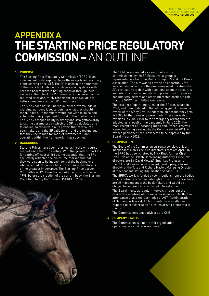## **THE STARTING PRICE REGULATORY COMMISSION –** AN OUTLINE **APPENDIX A**

#### **1 PURPOSE**

The Starting Price Regulatory Commission (SPRC) is an independent body responsible for the integrity and accuracy of the starting price (SP). The SP is used in the settlement of the majority of bets on British horseracing struck with licensed bookmakers in betting shops or through their websites. The role of the Commission is to ensure that the returned price accurately reflects the price available to bettors on-course at the 'off' of each race.

The SPRC does not set individual prices, overrounds or margins, nor does it set targets for what they should meet. Indeed, its members would not wish to do so and substitute their judgement for that of the marketplace. The SPRC's responsibility is simply and straightforwardly to set the parameters by which the SP is calculated and to ensure, so far as within its power, that racecourse bookmakers and the SP validators – and the technology that they use to monitor market movements – are operating within the framework it has specified.

#### **2 BACKGROUND**

Starting Prices have been returned using the on-course market since the 18th century. With the growth of markets for betting off-course, it became essential that the SPs accurately reflected the on-course market and that they were seen to be independent of the bookmakers who accepted off-course bets. Governance therefore is of the greatest importance. The Starting Price Liaison Committee of 1994 was turned into the SP Executive in 1999, before the creation of the current body, the Starting Price Regulatory Commission (SPRC) in 2004.



The SPRC was created as a result of a study commissioned by the SP Executive, a group of representatives from the Mirror Group, SIS and the Press Association. The aim was to provide an opportunity for independent scrutiny of the processes used to return the SP, particularly to deal with questions about the accuracy and integrity of individual starting prices from off-course bookmakers, bettors and other interested parties, a role that the SPRC has fulfilled ever since.

The first set of operating rules for the SP was issued in 1998, and then updated in the following year. Following a review of the SP by Arthur Andersen, an accountancy firm, in 2000, further revisions were made. There were also revisions in 2006. Prior to the emergency arrangements adopted as a result of the pandemic in June 2020, the most recent set of Operating Rules and Procedures was issued following a review by the Commission in 2011. A revised permanent set is expected to be approved by the Board in early 2022.

#### **3 COMPOSITION**

The Board of the Commission currently consists of four independent Non-Executive Directors. From 6th April 2021 the SPRC has been chaired by Nick Rust, former Chief Executive at the British Horseracing Authority. His fellow directors are Sir David Metcalf, Emeritus Professor at the LSE and a racecourse steward, Lord Lipsey, a former director of the Tote and Richard Hayler, Managing Director at Independent Betting Adjudication Service (IBAS).

The SPRC's work is funded by contributions from the bodies which control racecourse data rights. The SPRC's directors are all independent of the bookmakers and would be obliged to declare if any conflict of interest arose.

The Board meets at regular intervals throughout the year with executives of the racecourse data controllers in attendance plus a representative of AGT (Administration of Gaming on Tracks). Ad hoc meetings are called as required to consider specific issues arising of interest to the SPRC.

The Commission's legal advisers are CMS.

#### **4 COMPANY STATUS**

The Commission is a non-profit organisation operating on a cost recovery basis.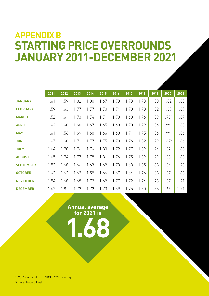## **STARTING PRICE OVERROUNDS JANUARY 2011-DECEMBER 2021 APPENDIX B**

|                  | 2011 | 2012 | 2013 | 2014 | 2015 | 2016 | 2017 | 2018 | 2019 | 2020           | 2021 |
|------------------|------|------|------|------|------|------|------|------|------|----------------|------|
| <b>JANUARY</b>   | 1.61 | 1.59 | 1.82 | 1.80 | 1.67 | 1.73 | 1.73 | 1.73 | 1.80 | 1.82           | 1.68 |
| <b>FEBRUARY</b>  | 1.59 | 1.63 | 1.77 | 1.77 | 1.70 | 1.74 | 1.78 | 1.78 | 1.82 | 1.69           | 1.69 |
| <b>MARCH</b>     | 1.52 | 1.61 | 1.73 | 1.74 | 1.71 | 1.70 | 1.68 | 1.76 | 1.89 | $1.75^{\circ}$ | 1.67 |
| <b>APRIL</b>     | 1.62 | 1.60 | 1.68 | 1.67 | 1.65 | 1.68 | 1.70 | 1.72 | 1.86 | $***$          | 1.65 |
| <b>MAY</b>       | 1.61 | 1.56 | 1.69 | 1.68 | 1.66 | 1.68 | 1.71 | 1.75 | 1.86 | $***$          | 1.66 |
| <b>JUNE</b>      | 1.67 | 1.60 | 1.71 | 1.77 | 1.75 | 1.70 | 1.76 | 1.82 | 1.99 | $1.47*$        | 1.66 |
| <b>JULY</b>      | 1.64 | 1.70 | 1.76 | 1.74 | 1.80 | 1.72 | 1.77 | 1.89 | 1.94 | $1.62*$        | 1.68 |
| <b>AUGUST</b>    | 1.65 | 1.74 | 1.77 | 1.78 | 1.81 | 1.76 | 1.75 | 1.89 | 1.99 | $1.63*$        | 1.68 |
| <b>SEPTEMBER</b> | 1.53 | 1.68 | 1.66 | 1.63 | 1.69 | 1.73 | 1.68 | 1.85 | 1.88 | $1.64*$        | 1.70 |
| <b>OCTOBER</b>   | 1.43 | 1.62 | 1.62 | 1.59 | 1.66 | 1.67 | 1.64 | 1.76 | 1.68 | $1.67*$        | 1.68 |
| <b>NOVEMBER</b>  | 1.54 | 1.68 | 1.68 | 1.72 | 1.69 | 1.77 | 1.72 | 1.74 | 1.73 | $1.67*$        | 1.71 |
| <b>DECEMBER</b>  | 1.62 | 1.81 | 1.72 | 1.72 | 1.73 | 1.69 | 1.75 | 1.80 | 1.88 | $1.66*$        | 1.71 |

**Annual average for 2021 is 1.68**

2020: ^Partial Month. \*BCD. \*\*No Racing Source: Racing Post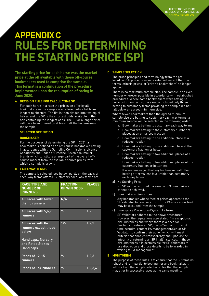# **RULES FOR DETERMINING THE STARTING PRICE (SP) APPENDIX C**

**The starting price for each horse was the market price at the off available with those off-course bookmakers used to comprise the sample. This format is a continuation of the procedure implemented upon the resumption of racing in June 2020.** 

#### **A DECISION RULE FOR CALCULATING SP**

For each horse in a race the prices on offer by all bookmakers in the sample are ordered into a list from longest to shortest. The list is then divided into two equal halves and the SP is the shortest odds available in the half containing the longest odds. The SP or a longer price will have been offered by at least half the bookmakers in the sample.

#### **SELECTED DEFINITION**

#### **BOOKMAKER**

For the purposes of determining the SP in 2021, a bookmaker is defined as an off-course bookmaker betting in accordance with the Gambling Commission's Licence Conditions and Codes of Practice. Seven bookmaker brands which constitute a large part of the overall offcourse market form the available source prices from which a sample is drawn.

#### **C EACH-WAY TERMS**

The sample is selected (see below) partly on the basis of each-way terms offered. Customary each-way terms are:

| <b>RACE TYPE AND</b><br><b>NUMBER OF</b><br><b>RUNNERS</b>        | <b>FRACTION</b><br>OF WIN ODDS | <b>PLACES</b> |
|-------------------------------------------------------------------|--------------------------------|---------------|
| All races with fewer<br>than 5 runners                            | N/A                            |               |
| All races with 5,6,7<br>runners                                   | 1/2                            | 1,2           |
| All races with $8+$<br>runners except those<br>below              | 1/5                            | 1, 2, 3       |
| <b>Handicaps, Nursery</b><br>and Rated Stakes<br><b>Handicaps</b> |                                |               |
| Races of 12-15<br>runners                                         | 1/2                            | 1, 2, 3       |
| Races of 16+ runners                                              | $\frac{1}{4}$                  | 1,2,3,4       |

#### **D SAMPLE SELECTION**

The broad principles and terminology from the prelockdown SP procedures were retained, except that the terms 'criteria prices' or 'criteria bookmakers' no longer applied.

There is no maximum sample size. The sample is an even number wherever possible in accordance with established procedures. Where some bookmakers were betting to non-customary terms, the sample included only those betting to customary terms providing the sample did not fall below an agreed minimum size.

Where fewer bookmakers than the agreed minimum sample size are betting to customary each way terms, a minimum sample will be selected in the following order:

- a. Bookmakers betting to customary each way terms
- b. Bookmakers betting to the customary number of places at an enhanced fraction
- c. Bookmakers betting to one additional place at a reduced fraction
- d. Bookmakers betting to one additional place at the customary fraction or better
- e. Bookmakers betting to two additional places at a reduced fraction
- f. Bookmakers betting to two additional places at the customary fraction or better etc. It is not envisaged that any bookmaker will offer betting at terms less favourable than customary each way terms.
- a) No Starting Price

No SP will be returned if a sample of 3 bookmakers cannot be achieved.

b) Bookmaker's Own Prices

Any bookmaker whose feed of prices appears to the SP validator to precisely mirror the PA's live show feed may be excluded from the sample.

c) Emergency Procedures/System Failures

SP Validators adhered to the above procedures. However, the regulations also stated: "In exceptional circumstances and where there is a need for flexibility to return an SP, the SP Validator must, if time permits, contact PA management/Senior SP Validator to confirm their action which will meet criteria that enables transparency and upholds the integrity of returning an SP in all instances. In these circumstances it is permissible for SP Validators to use discretion and those details to be forwarded in writing to PA management."

#### **E MONITORING**

The purpose of these rules is to ensure that the SP remains robust and is impartial to both punter and bookmaker. It follows from the sample selection rules that the sample may alter in successive races at the same meeting.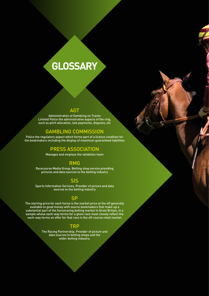# **GLOSSARY**

## AGT

Administration of Gambling on Tracks Limited Police the administrative aspects of the ring, such as pitch allocation, late payments, disputes, etc

### GAMBLING COMMISSION

Police the regulatory aspect which forms part of a licence condition for the bookmakers including the display of maximum guaranteed liabilities

## PRESS ASSOCIATION

Manages and employs the validation team

## RMG

Racecourse Media Group. Betting shop service providing pictures and data sources to the betting industry

### SIS

Sports Information Services. Provider of picture and data sources to the betting industry

## **SP**

The starting price for each horse is the market price at the off generally available to good money with source bookmakers that make up a substantial part of the horseracing betting market in Great Britain, in a sample whose each-way terms for a given race most closely reflect the each-way terms on offer for that race in the off-course retail market

### TRP

The Racing Partnership. Provider of picture and data sources to betting shops and the wider betting industry.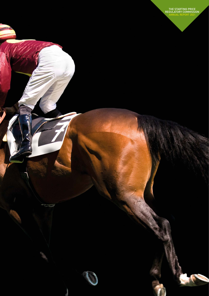